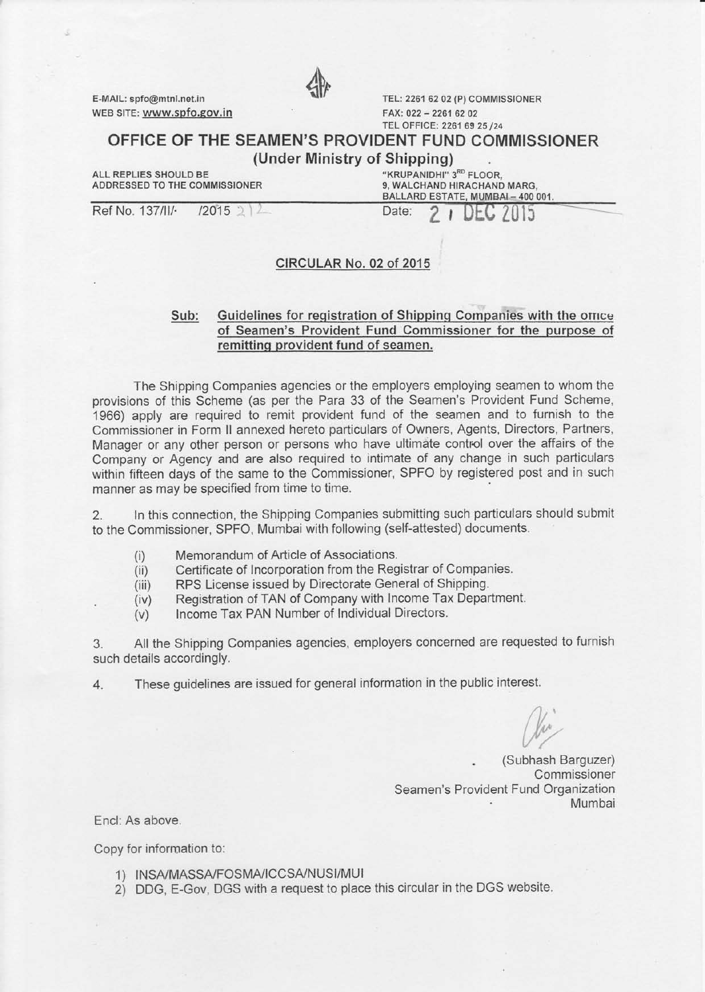E-MAIL: spfo@mtnl.net.in WEB SITE: www.spfo.gov.in



TEL: 2261 62 02 (P) COMMISSIONER  $FAX: 022 - 22616202$ TEL OFFICE: 2261 69 25 /24

# OFFICE OF THE SEAMEN'S PROVIDENT FUND COMMISSIONER

(Under Ministry of Shipping)

ALL REPLIES SHOULD BE

"KRUPANIDHI" 3<sup>RD</sup> FLOOR,<br>9, WALCHAND HIRACHAND MARG, ADDRESSED TO THE COMMISSIONER 9, WALCHAND HIRACHAND MARG,<br>BALLARD ESTATE, MUMBAI – 400 001.

Ref No. 137/II/- $/2015$  2 Date: 13

## CIRCULAR No. 02 of 2015

## Sub: Guidelines for registration of Shipping Companies with the omce of Seamen's Provident Fund Commissioner for the purpose of remittinq provident fund of seamen.

The Shipping Companies agencies or the employers employing seamen to whom the provisions of this Scheme (as per the Para 33 of the Seamen's Provident Fund Scheme, 1966) apply are required to remit provident fund of the seamen and to furnish to the Commissioner in Form ll annexed hereto particulars of Owners, Agents, Directors, Partners, Manager or any other person or persons who have ultimate control over the affairs of the Company or Agency and are also required to intimate of any change in such particulars within fifteen days of the same to the Commissioner, SPFO by registered post and in such manner as may be specified from time to time.

2. ln this connection, the Shipping Companies submitting such particulars should submit to the Commissioner, SPFO, Mumbai with following (self-attested) documents.

- 
- (i) Memorandum of Article of Associations.<br>(ii) Certificate of Incorporation from the Reg Certificate of Incorporation from the Registrar of Companies.
- (iii) RPS License issued by Directorate General of Shipping.
- (iv) Registration of TAN of Company with Income Tax Department.<br>(v) Income Tax PAN Number of Individual Directors.
- Income Tax PAN Number of Individual Directors.

3. All the Shipping Companies agencies, employers concerned are requested to furnish such details accordingly.

4. These guidelines are issued for general information in the public interest.

. (Subhash Barguzer) Commissioner Seamen's Provident Fund Organization<br>Mumbai

Encl:As above.

Copy for information to:

- 1) INSA/MASSA/FOSMA/ICCSA/NUSI/MUI
- 2) DDG, E-Gov, DGS with a request to place this circular in the DGS website